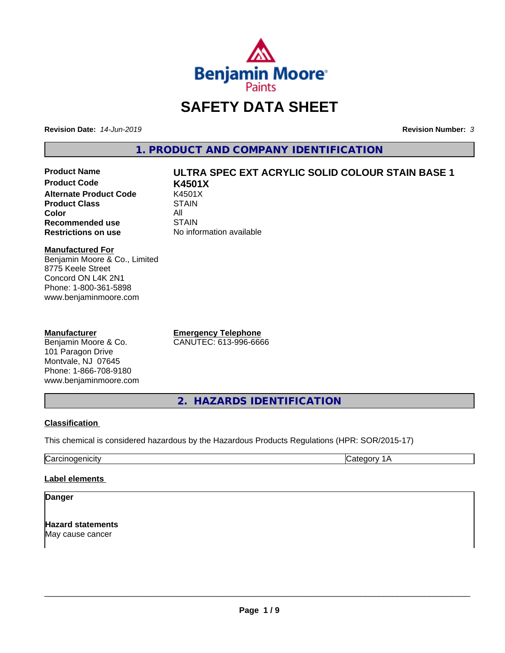

# **SAFETY DATA SHEET**

**Revision Date:** *14-Jun-2019* **Revision Number:** *3*

**1. PRODUCT AND COMPANY IDENTIFICATION**

**Product Code K4501X Alternate Product Code K4501X**<br>**Product Class** STAIN **Product Class Color** All All<br>**Recommended use** STAIN **Recommended use**<br>Restrictions on use

# **Product Name ULTRA SPEC EXT ACRYLIC SOLID COLOUR STAIN BASE 1**

**No information available** 

#### **Manufactured For**

Benjamin Moore & Co., Limited 8775 Keele Street Concord ON L4K 2N1 Phone: 1-800-361-5898 www.benjaminmoore.com

#### **Manufacturer**

Benjamin Moore & Co. 101 Paragon Drive Montvale, NJ 07645 Phone: 1-866-708-9180 www.benjaminmoore.com **Emergency Telephone** CANUTEC: 613-996-6666

**2. HAZARDS IDENTIFICATION**

#### **Classification**

This chemical is considered hazardous by the Hazardous Products Regulations (HPR: SOR/2015-17)

Carcinogenicity Category 1A

#### **Label elements**

#### **Danger**

**Hazard statements** May cause cancer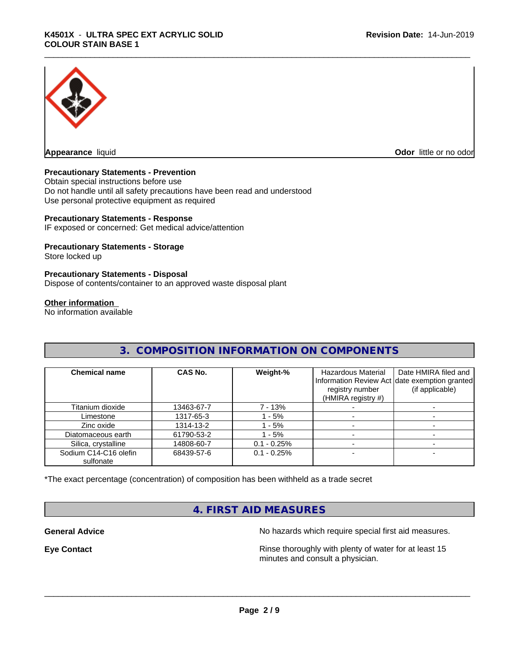

**Appearance** liquid **CODO** *Appearance liquid* **Odor** *CODO CODO* **<b>***CODO CODO CODO CODO CODO* 

#### **Precautionary Statements - Prevention**

Obtain special instructions before use Do not handle until all safety precautions have been read and understood Use personal protective equipment as required

#### **Precautionary Statements - Response**

IF exposed or concerned: Get medical advice/attention

#### **Precautionary Statements - Storage**

Store locked up

#### **Precautionary Statements - Disposal**

Dispose of contents/container to an approved waste disposal plant

#### **Other information**

No information available

### **3. COMPOSITION INFORMATION ON COMPONENTS**

| <b>Chemical name</b>               | CAS No.    | Weight-%       | <b>Hazardous Material</b><br>registry number<br>(HMIRA registry #) | Date HMIRA filed and<br>Information Review Act date exemption granted<br>(if applicable) |
|------------------------------------|------------|----------------|--------------------------------------------------------------------|------------------------------------------------------------------------------------------|
| Titanium dioxide                   | 13463-67-7 | 7 - 13%        |                                                                    |                                                                                          |
| Limestone                          | 1317-65-3  | - 5%           |                                                                    |                                                                                          |
| Zinc oxide                         | 1314-13-2  | - 5%           |                                                                    |                                                                                          |
| Diatomaceous earth                 | 61790-53-2 | $-5%$          |                                                                    |                                                                                          |
| Silica, crystalline                | 14808-60-7 | $0.1 - 0.25%$  |                                                                    |                                                                                          |
| Sodium C14-C16 olefin<br>sulfonate | 68439-57-6 | $0.1 - 0.25\%$ |                                                                    |                                                                                          |

\*The exact percentage (concentration) of composition has been withheld as a trade secret

## **4. FIRST AID MEASURES**

**General Advice** No hazards which require special first aid measures.

**Eye Contact Exercise 2.1 All 2.5 All 2.5 All 2.6 All 2.6 All 2.6 All 2.6 All 2.6 All 2.6 All 2.6 All 2.6 All 2.6 All 2.6 All 2.6 All 2.6 All 2.6 All 2.6 All 2.6 All 2.6 All 2.6 All 2.6 All 2.6 All 2.6 All 2.6 All 2.6 Al** minutes and consult a physician.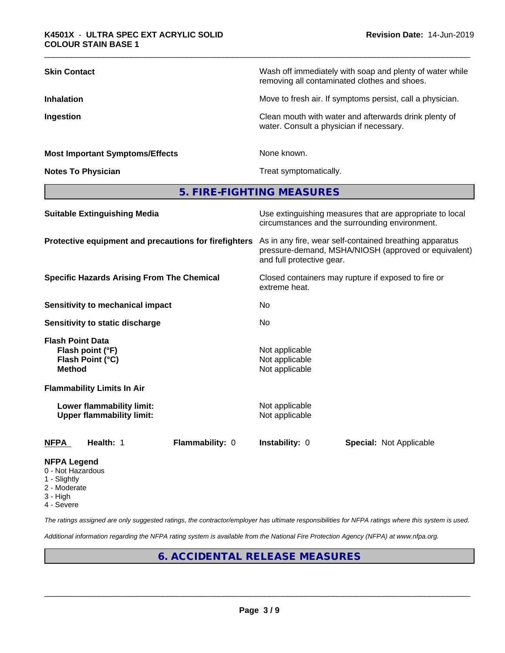| <b>Skin Contact</b>                    | Wash off immediately with soap and plenty of water while<br>removing all contaminated clothes and shoes. |
|----------------------------------------|----------------------------------------------------------------------------------------------------------|
| <b>Inhalation</b>                      | Move to fresh air. If symptoms persist, call a physician.                                                |
| Ingestion                              | Clean mouth with water and afterwards drink plenty of<br>water. Consult a physician if necessary.        |
| <b>Most Important Symptoms/Effects</b> | None known.                                                                                              |
| <b>Notes To Physician</b>              | Treat symptomatically.                                                                                   |

**5. FIRE-FIGHTING MEASURES**

| <b>Suitable Extinguishing Media</b>                                              | Use extinguishing measures that are appropriate to local<br>circumstances and the surrounding environment.<br>As in any fire, wear self-contained breathing apparatus<br>pressure-demand, MSHA/NIOSH (approved or equivalent)<br>and full protective gear.<br>Closed containers may rupture if exposed to fire or<br>extreme heat.<br>No.<br>No. |  |  |
|----------------------------------------------------------------------------------|--------------------------------------------------------------------------------------------------------------------------------------------------------------------------------------------------------------------------------------------------------------------------------------------------------------------------------------------------|--|--|
| Protective equipment and precautions for firefighters                            |                                                                                                                                                                                                                                                                                                                                                  |  |  |
| <b>Specific Hazards Arising From The Chemical</b>                                |                                                                                                                                                                                                                                                                                                                                                  |  |  |
| Sensitivity to mechanical impact                                                 |                                                                                                                                                                                                                                                                                                                                                  |  |  |
| <b>Sensitivity to static discharge</b>                                           |                                                                                                                                                                                                                                                                                                                                                  |  |  |
| <b>Flash Point Data</b><br>Flash point (°F)<br>Flash Point (°C)<br><b>Method</b> | Not applicable<br>Not applicable<br>Not applicable                                                                                                                                                                                                                                                                                               |  |  |
| <b>Flammability Limits In Air</b>                                                |                                                                                                                                                                                                                                                                                                                                                  |  |  |
| Lower flammability limit:<br><b>Upper flammability limit:</b>                    | Not applicable<br>Not applicable                                                                                                                                                                                                                                                                                                                 |  |  |
| Health: 1<br><b>Flammability: 0</b><br>NFPA                                      | <b>Instability: 0</b><br><b>Special: Not Applicable</b>                                                                                                                                                                                                                                                                                          |  |  |
| <b>NFPA Legend</b><br>0 - Not Hazardous                                          |                                                                                                                                                                                                                                                                                                                                                  |  |  |

- 
- 1 Slightly
- 2 Moderate
- 3 High
- 4 Severe

*The ratings assigned are only suggested ratings, the contractor/employer has ultimate responsibilities for NFPA ratings where this system is used.*

*Additional information regarding the NFPA rating system is available from the National Fire Protection Agency (NFPA) at www.nfpa.org.*

### **6. ACCIDENTAL RELEASE MEASURES**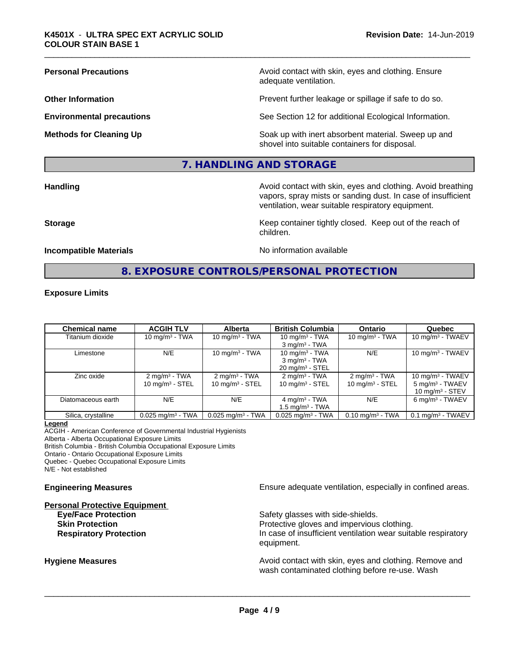**Personal Precautions Precautions Personal Precautions Avoid contact with skin, eyes and clothing. Ensure** adequate ventilation.

**Other Information Determined Information Prevent further leakage or spillage if safe to do so.** 

**Environmental precautions** See Section 12 for additional Ecological Information.

**Methods for Cleaning Up Example 20 Soak** up with inert absorbent material. Sweep up and shovel into suitable containers for disposal.

#### **7. HANDLING AND STORAGE**

**Handling Handling Avoid contact with skin, eyes and clothing. Avoid breathing Handling Avoid breathing Avoid breathing** vapors, spray mists or sanding dust. In case of insufficient ventilation, wear suitable respiratory equipment.

**Storage Keep container tightly closed. Keep out of the reach of Keep Keep container tightly closed. Keep out of the reach of** 

#### **Incompatible Materials Incompatible Materials No information available**

**8. EXPOSURE CONTROLS/PERSONAL PROTECTION**

children.

#### **Exposure Limits**

| <b>Chemical name</b> | <b>ACGIH TLV</b>                | <b>Alberta</b>                  | <b>British Columbia</b>         | <b>Ontario</b>                 | Quebec                          |
|----------------------|---------------------------------|---------------------------------|---------------------------------|--------------------------------|---------------------------------|
| Titanium dioxide     | 10 mg/m $3$ - TWA               | 10 mg/m $3$ - TWA               | 10 mg/m $3$ - TWA               | 10 mg/m $3$ - TWA              | 10 mg/m $3$ - TWAEV             |
|                      |                                 |                                 | $3 \text{ mg/m}^3$ - TWA        |                                |                                 |
| Limestone            | N/E                             | 10 mg/m $3$ - TWA               | 10 mg/m $3$ - TWA               | N/E                            | 10 mg/m $3$ - TWAEV             |
|                      |                                 |                                 | $3$ mg/m <sup>3</sup> - TWA     |                                |                                 |
|                      |                                 |                                 | $20 \text{ mg/m}^3$ - STEL      |                                |                                 |
| Zinc oxide           | $2 \text{ mg/m}^3$ - TWA        | $2 \text{ mg/m}^3$ - TWA        | $2 \text{ mg/m}^3$ - TWA        | $2 \text{ mg/m}^3$ - TWA       | 10 mg/m $3$ - TWAEV             |
|                      | 10 $mq/m^3$ - STEL              | 10 $mq/m3$ - STEL               | 10 mg/m $3 -$ STEL              | $10 \text{ mg/m}^3$ - STEL     | $5 \text{ mg/m}^3$ - TWAEV      |
|                      |                                 |                                 |                                 |                                | 10 $mq/m3$ - STEV               |
| Diatomaceous earth   | N/E                             | N/E                             | 4 mg/m <sup>3</sup> - TWA       | N/E                            | $6 \text{ mg/m}^3$ - TWAEV      |
|                      |                                 |                                 | 1.5 mg/m $3$ - TWA              |                                |                                 |
| Silica, crystalline  | $0.025$ mg/m <sup>3</sup> - TWA | $0.025$ mg/m <sup>3</sup> - TWA | $0.025$ mg/m <sup>3</sup> - TWA | $0.10$ mg/m <sup>3</sup> - TWA | $0.1$ mg/m <sup>3</sup> - TWAEV |

#### **Legend**

ACGIH - American Conference of Governmental Industrial Hygienists Alberta - Alberta Occupational Exposure Limits

British Columbia - British Columbia Occupational Exposure Limits

Ontario - Ontario Occupational Exposure Limits

Quebec - Quebec Occupational Exposure Limits

N/E - Not established

**Personal Protective Equipment**

**Engineering Measures Ensure** Ensure adequate ventilation, especially in confined areas.

**Eye/Face Protection** Safety glasses with side-shields. **Skin Protection Protection Protective gloves and impervious clothing. Respiratory Protection In case of insufficient ventilation wear suitable respiratory** equipment.

**Hygiene Measures Avoid contact with skin, eyes and clothing. Remove and Avoid contact with skin, eyes and clothing. Remove and Avoid contact with skin, eyes and clothing. Remove and** wash contaminated clothing before re-use. Wash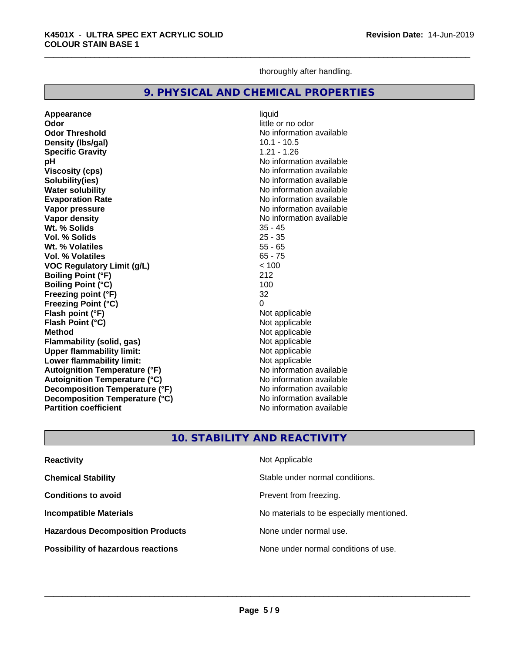thoroughly after handling.

#### **9. PHYSICAL AND CHEMICAL PROPERTIES**

**Appearance** liquid **Odor** little or no odor **Odor Threshold** No information available **Density (Ibs/gal)** 10.1 - 10.5<br> **Specific Gravity** 1.21 - 1.26 **Specific Gravity pH pH**  $\blacksquare$ **Viscosity (cps)** No information available **Solubility(ies)** No information available **Water solubility**<br> **Evaporation Rate**<br> **Evaporation Rate**<br> **Evaporation Rate Vapor pressure**<br> **Vapor density**<br> **Vapor density**<br> **Vapor density**<br> **Vapor density Wt. % Solids** 35 - 45 **Vol. % Solids** 25 - 35 **Wt. % Volatiles** 55 - 65 **Vol. % Volatiles VOC Regulatory Limit (g/L)** < 100 **Boiling Point (°F)** 212 **Boiling Point (°C)** 100 **Freezing point (°F)** 32 **Freezing Point (°C) Flash point (°F)**<br> **Flash Point (°C)**<br> **Flash Point (°C)**<br> **Compare Server All Alta Annual Mothematic Not applicable Flash Point (°C)**<br>Method **Flammability** (solid, gas) **Upper flammability limit:**<br> **Lower flammability limit:** Not applicable Not applicable **Lower flammability limit:**<br> **Autoignition Temperature (°F)** Not applicable havailable **Autoignition Temperature (°F) Autoignition Temperature (°C)**<br> **Decomposition Temperature (°F)** No information available **Decomposition Temperature (°F) Decomposition Temperature (°C)**<br> **Partition coefficient**<br> **Partition coefficient**<br> **No** information available **Partition coefficient** 

**Evaporation Rate** No information available **No information available**<br>35 - 45 **Not applicable**<br>Not applicable

### **10. STABILITY AND REACTIVITY**

| <b>Reactivity</b>                         | Not Applicable                           |
|-------------------------------------------|------------------------------------------|
| <b>Chemical Stability</b>                 | Stable under normal conditions.          |
| <b>Conditions to avoid</b>                | Prevent from freezing.                   |
| <b>Incompatible Materials</b>             | No materials to be especially mentioned. |
| <b>Hazardous Decomposition Products</b>   | None under normal use.                   |
| <b>Possibility of hazardous reactions</b> | None under normal conditions of use.     |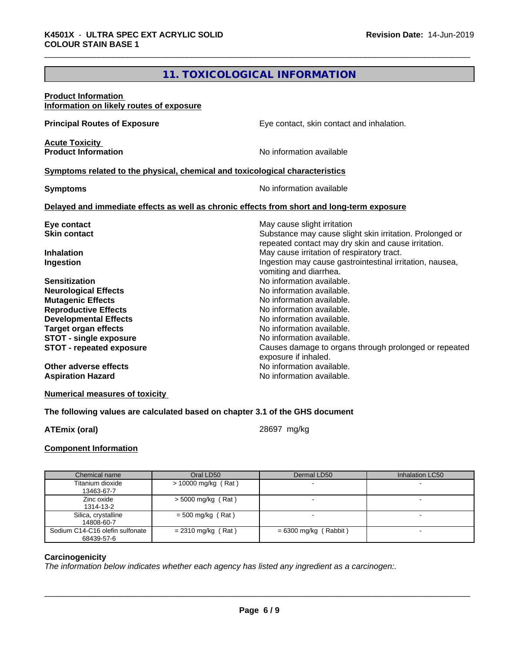# **11. TOXICOLOGICAL INFORMATION**

| Information on likely routes of exposure                                                                                                                                                                                                                                                                                         |  |
|----------------------------------------------------------------------------------------------------------------------------------------------------------------------------------------------------------------------------------------------------------------------------------------------------------------------------------|--|
| <b>Principal Routes of Exposure</b><br>Eye contact, skin contact and inhalation.                                                                                                                                                                                                                                                 |  |
| <b>Acute Toxicity</b><br><b>Product Information</b><br>No information available                                                                                                                                                                                                                                                  |  |
| Symptoms related to the physical, chemical and toxicological characteristics                                                                                                                                                                                                                                                     |  |
| No information available<br><b>Symptoms</b>                                                                                                                                                                                                                                                                                      |  |
| Delayed and immediate effects as well as chronic effects from short and long-term exposure                                                                                                                                                                                                                                       |  |
| May cause slight irritation<br>Eye contact<br>Substance may cause slight skin irritation. Prolonged or<br><b>Skin contact</b><br>repeated contact may dry skin and cause irritation.<br>May cause irritation of respiratory tract.<br><b>Inhalation</b><br>Ingestion may cause gastrointestinal irritation, nausea,<br>Ingestion |  |
| vomiting and diarrhea.<br>No information available.<br><b>Sensitization</b><br>No information available.<br><b>Neurological Effects</b><br><b>Mutagenic Effects</b><br>No information available.<br>No information available.<br><b>Reproductive Effects</b><br>No information available.                                        |  |
| <b>Developmental Effects</b><br>No information available.<br><b>Target organ effects</b><br>No information available.<br><b>STOT - single exposure</b><br>Causes damage to organs through prolonged or repeated<br><b>STOT - repeated exposure</b><br>exposure if inhaled.                                                       |  |
| No information available.<br>Other adverse effects<br>No information available.<br><b>Aspiration Hazard</b>                                                                                                                                                                                                                      |  |

**Numerical measures of toxicity**

#### **The following values are calculated based on chapter 3.1 of the GHS document**

**ATEmix (oral)** 28697 mg/kg

#### **Component Information**

| Chemical name                   | Oral LD50            | Dermal LD50             | Inhalation LC50 |
|---------------------------------|----------------------|-------------------------|-----------------|
| Titanium dioxide                | > 10000 mg/kg (Rat)  |                         |                 |
| 13463-67-7                      |                      |                         |                 |
| Zinc oxide                      | $>$ 5000 mg/kg (Rat) |                         |                 |
| 1314-13-2                       |                      |                         |                 |
| Silica, crystalline             | $= 500$ mg/kg (Rat)  |                         |                 |
| 14808-60-7                      |                      |                         |                 |
| Sodium C14-C16 olefin sulfonate | $= 2310$ mg/kg (Rat) | $= 6300$ mg/kg (Rabbit) |                 |
| 68439-57-6                      |                      |                         |                 |

#### **Carcinogenicity**

*The information below indicateswhether each agency has listed any ingredient as a carcinogen:.*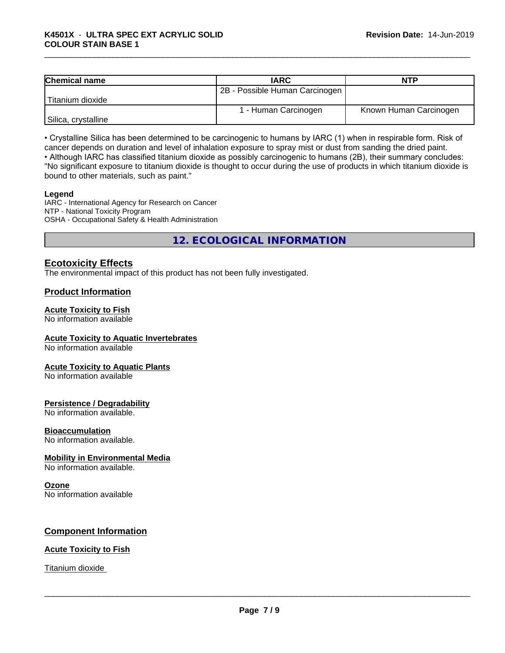| <b>Chemical name</b> | <b>IARC</b>                    | NTP                    |
|----------------------|--------------------------------|------------------------|
|                      | 2B - Possible Human Carcinogen |                        |
| Titanium dioxide     |                                |                        |
|                      | 1 - Human Carcinogen           | Known Human Carcinogen |
| Silica, crystalline  |                                |                        |

• Crystalline Silica has been determined to be carcinogenic to humans by IARC (1) when in respirable form. Risk of cancer depends on duration and level of inhalation exposure to spray mist or dust from sanding the dried paint.• Although IARC has classified titanium dioxide as possibly carcinogenic to humans (2B), their summary concludes:

"No significant exposure to titanium dioxide is thought to occur during the use of products in which titanium dioxide is bound to other materials, such as paint."

#### **Legend**

IARC - International Agency for Research on Cancer NTP - National Toxicity Program OSHA - Occupational Safety & Health Administration

**12. ECOLOGICAL INFORMATION**

### **Ecotoxicity Effects**

The environmental impact of this product has not been fully investigated.

#### **Product Information**

#### **Acute Toxicity to Fish**

No information available

#### **Acute Toxicity to Aquatic Invertebrates**

No information available

#### **Acute Toxicity to Aquatic Plants**

No information available

#### **Persistence / Degradability**

No information available.

#### **Bioaccumulation**

No information available.

#### **Mobility in Environmental Media**

No information available.

#### **Ozone**

No information available

#### **Component Information**

#### **Acute Toxicity to Fish**

#### Titanium dioxide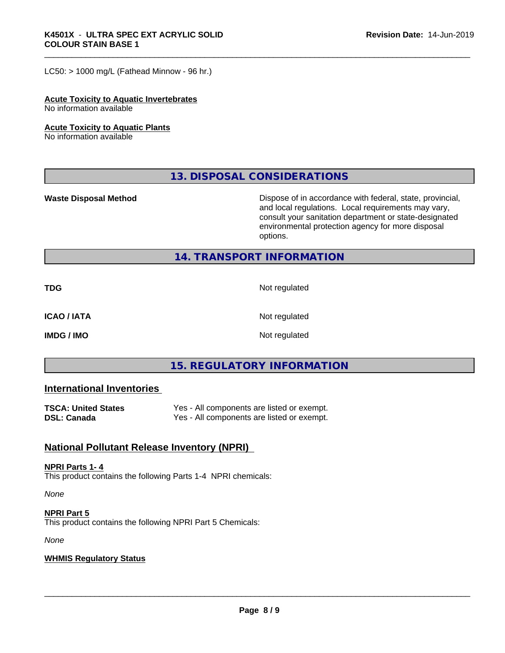$LC50:$  > 1000 mg/L (Fathead Minnow - 96 hr.)

#### **Acute Toxicity to Aquatic Invertebrates**

No information available

#### **Acute Toxicity to Aquatic Plants**

No information available

**13. DISPOSAL CONSIDERATIONS**

**Waste Disposal Method** Mateur Dispose of in accordance with federal, state, provincial, and local regulations. Local requirements may vary, consult your sanitation department or state-designated environmental protection agency for more disposal options.

#### **14. TRANSPORT INFORMATION**

**TDG** Not regulated

**ICAO / IATA** Not regulated

**IMDG / IMO** Not regulated

# **15. REGULATORY INFORMATION**

#### **International Inventories**

| <b>TSCA: United States</b> | Yes - All components are listed or exempt. |
|----------------------------|--------------------------------------------|
| <b>DSL: Canada</b>         | Yes - All components are listed or exempt. |

#### **National Pollutant Release Inventory (NPRI)**

#### **NPRI Parts 1- 4**

This product contains the following Parts 1-4 NPRI chemicals:

*None*

**NPRI Part 5** This product contains the following NPRI Part 5 Chemicals:

*None*

#### **WHMIS Regulatory Status**